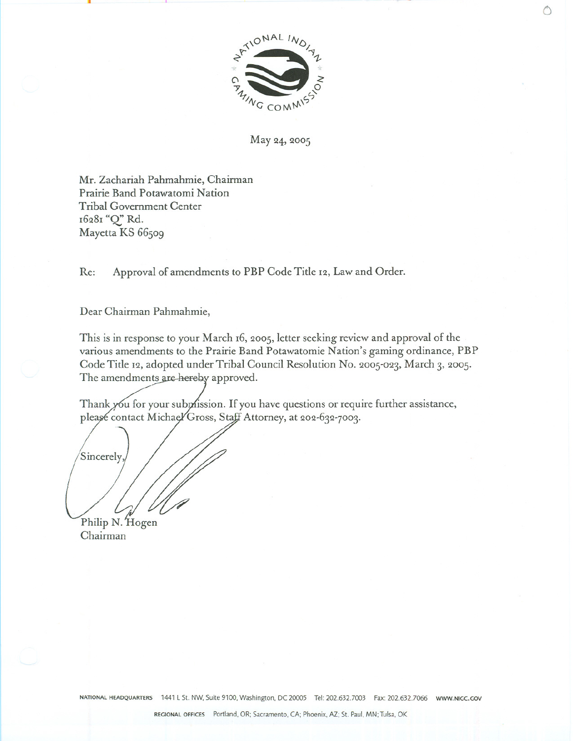

--.-- . <sup>o</sup>

May 24, 2005

Mr. Zachariah Pahmahmie, Chairman Prairie Band Potawatomi Nation Tribal Government Center 16281"Q' Rd. Mayetta KS 66509

Re: Approval of amendments to PBP Code Title 12, Law and Order.

Dear Chairman Pahmahmie,

This is in response to your March 16, 2005, letter seeking review and approval of the various amendments to the Prairie Band Potawatomie Nation's gaming ordinance, PBP Code Title 12, adopted under Tribal Council Resolution No. 2005-023, March 3, 2005. The amendments are hereby approved.

Thank you for your submission. If you have questions or require further assistance, please contact Michael Gross, Staff Attorney, at 202-632-7003.

Sincerely  $/4$ 

Philip N. Hog Chairman

NATIONAL HEADQUARTERS 1441 L St. NW, Suite 9100, Washington, DC 20005 Tel: 202.632.7003 Fax: 202.632.7066 www.NIGC.GOV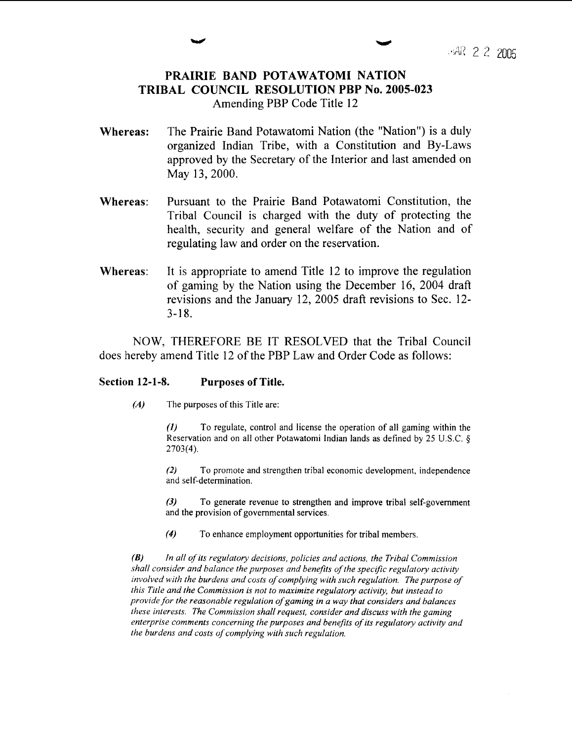# **PRAIRIE BAND POTAWATOMI NATION TRIBAL COUNCIL RESOLUTION PBP No. 2005-023** Amending PBP Code Title 12

- Whereas: The Prairie Band Potawatomi Nation (the "Nation") is a duly organized Indian Tribe, with a Constitution and By-Laws approved by the Secretary of the Interior and last amended on May 13, 2000.
- Whereas: Pursuant to the Prairie Band Potawatomi Constitution, the Tribal Council is charged with the duty of protecting the health, security and general welfare of the Nation and of regulating law and order on the reservation.
- Whereas: It is appropriate to amend Title 12 to improve the regulation of gaming by the Nation using the December 16, 2004 draft revisions and the January 12, 2005 draft revisions to Sec. 12-  $3 - 18.$

NOW, THEREFORE BE IT RESOLVED that the Tribal Council does hereby amend Title 12 of the PBP Law and Order Code as follows:

# **Section 12-1-8. Purposes of Title.**

 $(A)$ The purposes of this Title are:

> *(I)* To regulate, control and license the operation of all gaming within the Reservation and on all other Potawatomi Indian lands as defined by 25 U.S.C.  $\delta$ **2703(4).**

> *(2)* To promote and strengthen tribal economic development, independence and self-determination.

> **(3)** To generate revenue to strengthen and improve tribal self-government and the provision of governmental services.

**(4)** To enhance employment opportunities for tribal members.

 $(B)$ *In all of its regulatory decisions, policies and actions, the Tribal Commission .shall consider and balance the purposes and benefits of the specrfic regulatory activity involved with the burdens and costs of complying with such regulation. The purpose of this Title and the Commission is not to maximize regulatory activity, but instead to provide for the reasonable regulation ofgaming in a way that considers and balances these interests. The Commission shall request, consider and discuss with the gaming enterprise comments concerning the purposes and benefits of its regulatory activity and the burdens and costs of complying with such regulafion.*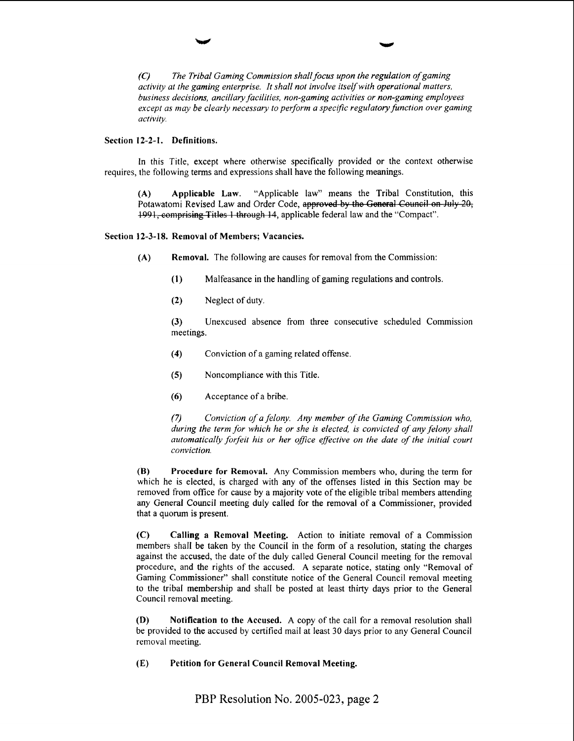*(C) The Tribal Gaming Commission shall focus upon the regulation ofgaming activity at the gaming enterprise. It shall not involve itselfwith operational matters, business decisions, ancillary facilities, non-gaming activities or non-gaming employees except as may be clearly necessary to perform a specific regulatory function over gaming activity*.

### Section 12-2-1. Definitions.

In this Title, except where otherwise specifically provided or the context otherwise requires, the following terms and expressions shall have the following meanings.

**(A)** Applicable Law. "Applicable law" means the Tribal Constitution, this Potawatomi Revised Law and Order Code, (A) Applicable Law. "Applicable law" means the Tribal Constitut Potawatomi Revised Law and Order Code, approved by the General Council or 1991, comprising Titles 1 through 14, applicable federal law and the "Compact".

## Section 12-3-18. Removal of Members; Vacancies.

- (A) Removal. The following are causes for removal from the Commission:
	- **(I)** Malfeasance in the handling of gaming regulations and controls.
	- (2) Neglect of duty.

(3) Unexcused absence from three consecutive scheduled Commission meetings.

- **(4)** Conviction of a gaming related offense.
- (5) Noncompliance with this Title.
- **(6)** Acceptance of a bribe.

**(7** *Conviction of a felony. Any member of the Gaming Commission who, during the term for which he or she is elected, is convicted of any felony shall automatically forfeit his or her ofice effective on the date of the initial court conviction.* 

**(B)** Procedure for Removal. Any Commission members who, during the term for which he is elected, is charged with any of the offenses listed in this Section may be removed from office for cause by a majority vote of the eligible tribal members attending any General Council meeting duly called for the removal of a Commissioner, provided that a quorum is present.

(C) Calling a Removal Meeting. Action to initiate removal of a Commission members shall be taken by the Council in the form of a resolution, stating the charges against the accused, the date of the duly called General Council meeting for the removal procedure, and the rights of the accused. A separate notice, stating only "Removal of Gaming Commissioner" shall constitute notice of the General Council removal meeting to the tribal membership and shall be posted at least thirty days prior to the General Council removal meeting.

**(D)** Notification to the Accused. A copy of the call for a removal resolution shall be provided to the accused by certified mail at least 30 days prior to any General Council removal meeting.

(E) Petition for General Council Removal Meeting.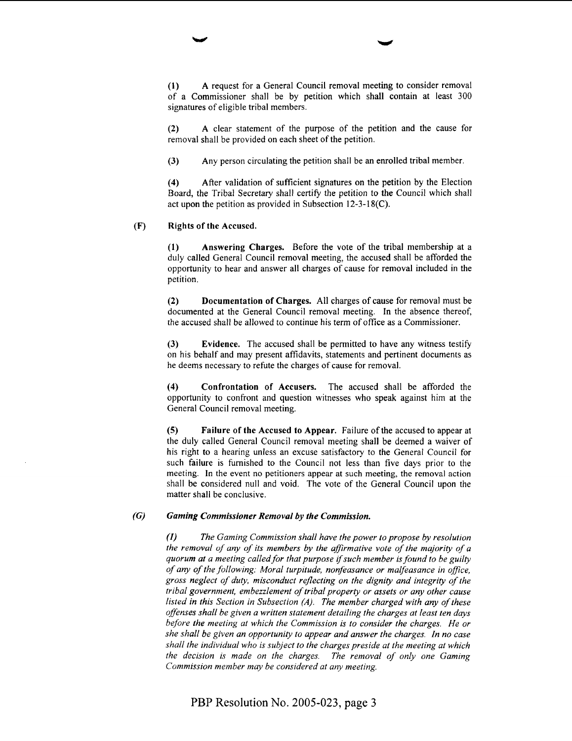**(I)** A request for a General Council removal meeting to consider removal of a Commissioner shall be by petition which shall contain at least 300 signatures of eligible tribal members.

**(2)** A clear statement of the purpose of the petition and the cause for removal shall be provided on each sheet of the petition.

**(3)** Any person circulating the petition shall be an enrolled tribal member.

**(4)** After validation of sufficient signatures on the petition by the Election Board, the Tribal Secretary shall certify the petition to the Council which shall act upon the petition as provided in Subsection 12-3-1 8(C).

#### (F) Rights of the Accused.

**(1)** Answering Charges. Before the vote of the tribal membership at a duly called General Council removal meeting, the accused shall be afforded the opportunity to hear and answer all charges of cause for removal included in the petition.

**(2)** Documentation of Charges. All charges of cause for removal must be documented at the General Council removal meeting. In the absence thereof, the accused shall be allowed to continue his term of office as a Commissioner.

**(3)** Evidence. The accused shall be permitted to have any witness testify on his behalf and may present affidavits, statements and pertinent documents as he deems necessary to refute the charges of cause for removal.

**(4)** Confrontation of Accusers. The accused shall be afforded the opportunity to confront and question witnesses who speak against him at the General Council removal meeting.

**(5)** Failure of the Accused to Appear. Failure of the accused to appear at the duly called General Council removal meeting shall be deemed a waiver of his right to a hearing unless an excuse satisfactory to the General Council for such failure is furnished to the Council not less than five days prior to the meeting. In the event no petitioners appear at such meeting, the removal action shall be considered null and void. The vote of the General Council upon the matter shall be conclusive.

## **(G)** *Gaming Commissioner Removal by the Commission.*

*(I) The Gaming Commission shall have the power to propose by resolution the removal of any of its members by the affirmative vote of the majority of a quorum at a meeting called for that purpose ifsuch member is found to be guilty of any of the following: Moral turpitude, nonfeasance or malfeasance in office,*  gross neglect of duty, misconduct reflecting on the dignity and integrity of the *tribal government, embezzlemenf of tribal property or assets or any other cause*  listed in this Section in Subsection (A). The member charged with any of these *offenses shall be given a written statement detailing the charges at least ten days before the meeting at which the Commission is to consider the charges. He or she shall be given an opportunity to appear and answer the charges. In no case shall the individual who is subject to the charges preside at the meeting at which the decision is made on the charges. The removal of only one Gaming Commission member may be considered at any meeting.*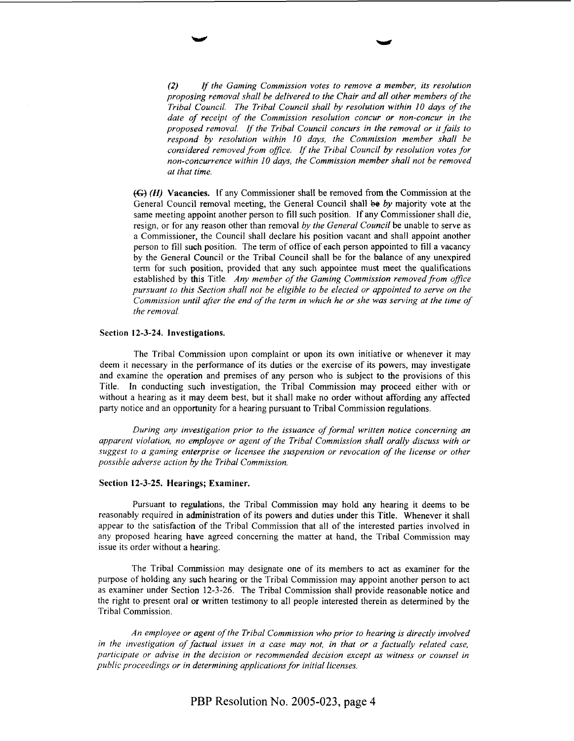*(2) If the Gaming Commission votes to remove a member, its resolution proposing removal shall be delivered to the Chair and all other members of the Tribal Council. The Tribal Council shall by resolution within I0 days of the date of receipt of the Commission resolution concur or non-concur in the proposed removal.* /f *the Tribal Council concurs in the removal or it fails to respond by resolution within 10 days, the Commission member shall be considered removed from ofice. If the Tribal Council by resolution votes for non-concurrence within 10 days, the Commission member shall not be removed at that time.* 

(Gj (H) Vacancies. If any Commissioner shall be removed fiom the Commission at the General Council removal meeting, the General Council shall **be** by majority vote at the same meeting appoint another person to fill such position. If any Commissioner shall die, resign, or for any reason other than removal *by the General Council* be unable to serve as a Commissioner, the Council shall declare his position vacant and shall appoint another person to fill such position. The term of office of each person appointed to fill a vacancy by the General Council or the Tribal Council shall be for the balance of any unexpired term for such position, provided that any such appointee must meet the qualifications established by this Title. *Any member of the Gaming Commission removed from office pursuant to this Section shall not be eligible to be elected or appointed to serve on the Commission until after the end of the term in which he or she was serving at the time of the removal.* 

#### Section **12-3-24.** Investigations.

The Tribal Commission upon complaint or upon its own initiative or whenever it may deem it necessary in the performance of its duties or the exercise of its powers, may investigate and examine the operation and premises of any person who is subject to the provisions of this Title. In conducting such investigation, the Tribal Commission may proceed either with or without a hearing as it may deem best, but it shall make no order without affording any affected party notice and an opportunity for a hearing pursuant to Tribal Commission regulations.

*During any investigation prior to the issuance of formal written notice concerning an apparent violation, no employee or agent of the Tribal Commission shall orally discuss with or suggest to a gaming enterprise or licensee the suspension or revocation of the license or other possible adverse action by the Tribal Commission.* 

#### Section **12-3-25.** Hearings; Examiner.

Pursuant to regulations, the Tribal Commission may hold any hearing it deems to be reasonably required in administration of its powers and duties under this Title. Whenever it shall appear to the satisfaction of the Tribal Commission that all of the interested parties involved in any proposed hearing have agreed concerning the matter at hand, the Tribal Commission may issue its order without a hearing.

The Tribal Commission may designate one of its members to act as examiner for the purpose of holding any such hearing or the Tribal Commission may appoint another person to act as examiner under Section 12-3-26. The Tribal Commission shall provide reasonable notice and the right to present oral or written testimony to a11 people interested therein as determined by the Tribal Commission.

*An employee or agent of the Tribal Commission who prior to hearing is directly involved*  in the investigation of factual issues in a case may not, in that or a factually related case, *participute or advise in the decision or recommended decision except as witness or counsel in public proceedings or in determining applications for initial licenses.*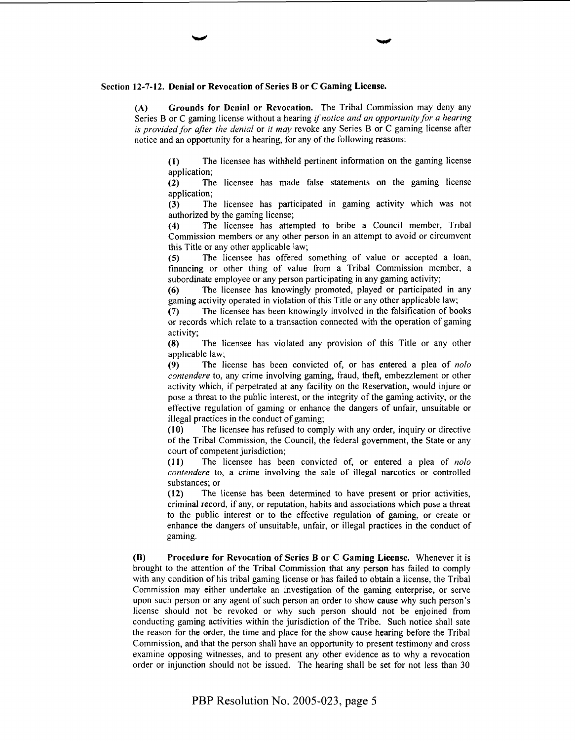#### Section **12-7-12.** Denial or Revocation of Series B or **C** Gaming License.

**(A)** Grounds for Denial or Revocation. The Tribal Commission may deny any Series B or C gaming license without a hearing *if notice and an opportunity for a hearing is provided for after the denial* or *it may* revoke any Series B or C gaming license after notice and an opportunity for a hearing, for any of the following reasons:

**(1)** The licensee has withheld pertinent information on the gaming license application;

**(2)** The licensee has made false statements on the gaming license application;

**(3)** The licensee has participated in gaming activity which was not

authorized by the gaming license;<br>(4) The licensee has atter The licensee has attempted to bribe a Council member, Tribal Commission members or any other person in an attempt to avoid or circumvent this Title or any other applicable iaw;

(5) The licensee has offered something of value or accepted a loan, financing or other thing of value from a Tribal Commission member, a subordinate employee or any person participating in any gaming activity;

**(6)** The licensee has knowingly promoted, played or participated in any gaming activity operated in violation of this Title or any other applicable law;

**(7)** The licensee has been knowingly involved in the falsification of books or records which relate to a transaction connected with the operation of gaming activity;

**(8)** The licensee has violated any provision of this Title or any other applicable law;

**(9)** The license has been convicted of, or has entered a plea of *nolo contendere* to, any crime involving gaming, fraud, theft, embezzlement or other activity which, if perpetrated at any facility on the Reservation, would injure or pose a threat to the public interest, or the integrity of the gaming activity, or the effective regulation of gaming or enhance the dangers of unfair, unsuitable or illegal practices in the conduct of gaming;

**(10)** The licensee has rehsed to comply with any order, inquiry or directive of the Tribal Commission, the Council, the federal government, the State or any court of competent jurisdiction;

**(11)** The licensee has been convicted of, or entered a plea of *nolo contendere* to, a crime involving the sale of illegal narcotics or controlled substances; or

**(12)** The license has been determined to have present or prior activities, criminal record, if any, or reputation, habits and associations which pose a threat to the public interest or to the effective regulation of gaming, or create or enhance the dangers of unsuitable, unfair, or illegal practices in the conduct of gaming.

**(B)** Procedure for Revocation of Series **B** or **C** Gaming License. Whenever it is brought to the attention of the Tribal Commission that any person has failed to comply with any condition of his tribal gaming license or has failed to obtain a license, the Tribal Commission may either undertake an investigation of the gaming enterprise, or serve upon such person or any agent of such person an order to show cause why such person's license should not be revoked or why such person should not be enjoined from conducting gaming activities within the jurisdiction of the Tribe. Such notice shall sate the reason for the order, the time and place for the show cause hearing before the Tribal Commission, and that the person shall have an opportunity to present testimony and cross examine opposing witnesses, and to present any other evidence as to why a revocation order or injunction should not be issued. The hearing shall be set for not less than 30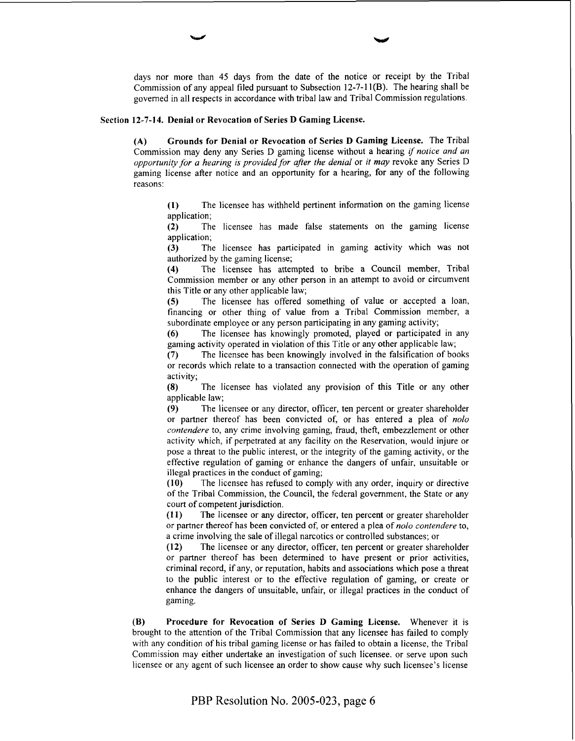days nor more than 45 days from the date of the notice or receipt by the Tribal Commission of any appeal filed pursuant to Subsection 12-7-1 **l(B).** The hearing shall be governed in all respects in accordance with tribal law and Tribal Commission regulations.

# **Section 12-7-14. Denial or Revocation of Series D Gaming License.**

**(A) Grounds for Denial or Revocation of Series D Gaming License.** The Tribal Commission may deny any Series D gaming license without a hearing if *notice and an opporrunity for a hearing is provided for after the denial* or *it may* revoke any Series D gaming license after notice and an opportunity for a hearing, for any of the following reasons:

> **(1)** The licensee has withheld pertinent information on the gaming license application;

> **(2)** The licensee has made false statements on the gaming license

application;<br>(3) The **(3)** The licensee has participated in gaming activity which was not authorized by the gaming license;

**(4)** The licensee has attempted to bribe a Council member, Tribal Commission member or any other person in an attempt to avoid or circumvent this Title or any other applicable law;

(5) The licensee has offered something of value or accepted a loan, financing or other thing of value from a Tribal Commission member, a subordinate employee or any person participating in any gaming activity;

(6) The licensee has knowingly promoted, played or participated in any gaming activity operated in violation of this Title or any other applicable law;

**(7)** The licensee has been knowingly involved in the falsification of books or records which relate to a transaction connected with the operation of gaming activity;

**(8)** The licensee has violated any provision of this Title or any other applicable law;

**(9)** The licensee or any director, officer, ten percent or greater shareholder or partner thereof has been convicted of, or has entered a plea of *nolo contendere* to, any crime involving gaming, fraud, theft, embezzlement or other activity which, if perpetrated at any facility on the Reservation, would injure or pose a threat to the public interest, or the integrity of the gaming activity, or the effective regulation of gaming or enhance the dangers of unfair, unsuitable or illegal practices in the conduct of gaming;

(10) The licensee has refused to comply with any order, inquiry or directive of the Tribal Commission, the Council, the federal government, the State or any court of competent jurisdiction.

**(1 I)** The licensee or any director, officer, ten percent or greater shareholder or partner thereof has been convicted of, or entered a plea of *nolo contendere* to, a crime involving the sale of illegal narcotics or controlled substances; or

**(12)** The licensee or any director, officer, ten percent or greater shareholder or partner thereof has been determined to have present or prior activities, criminal record, if any, or reputation, habits and associations which pose a threat to the public interest or to the effective regulation of gaming, or create or enhance the dangers of unsuitable, unfair, or illegal practices in the conduct of gaming.

**(B) Procedure for Revocation of Series D Gaming License.** Whenever it is brought to the attention of the Tribal Commission that any licensee has failed to comply with any condition of his tribal gaming license or has failed to obtain a license, the Tribal Commission may either undertake an investigation of such licensee. or serve upon such licensee or any agent of such licensee an order to show cause why such licensee's license